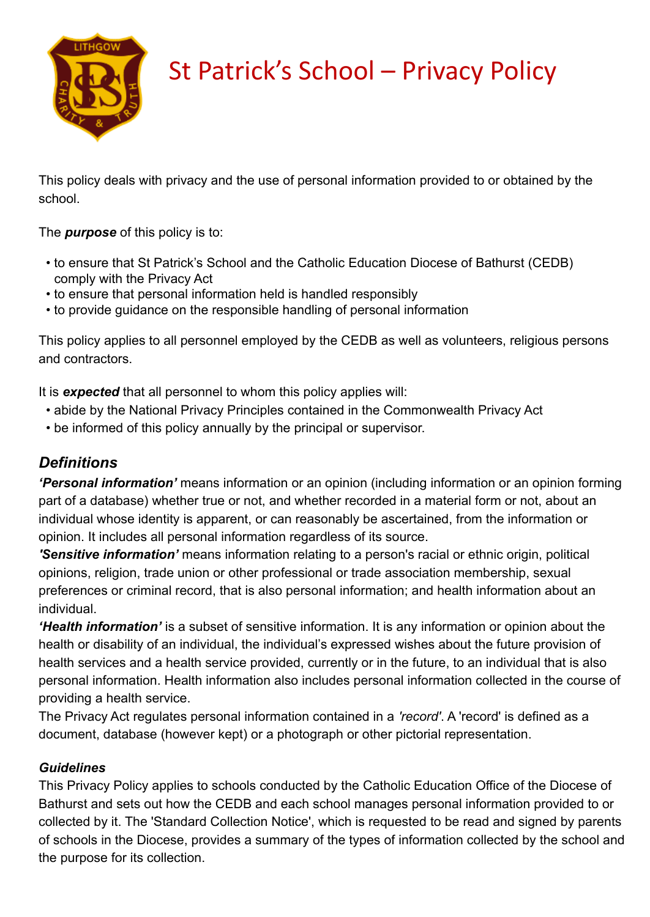

# St Patrick's School – Privacy Policy

This policy deals with privacy and the use of personal information provided to or obtained by the school.

The *purpose* of this policy is to:

- to ensure that St Patrick's School and the Catholic Education Diocese of Bathurst (CEDB) comply with the Privacy Act
- to ensure that personal information held is handled responsibly
- to provide guidance on the responsible handling of personal information

This policy applies to all personnel employed by the CEDB as well as volunteers, religious persons and contractors.

It is *expected* that all personnel to whom this policy applies will:

- abide by the National Privacy Principles contained in the Commonwealth Privacy Act
- be informed of this policy annually by the principal or supervisor.

# *Definitions*

*'Personal information'* means information or an opinion (including information or an opinion forming part of a database) whether true or not, and whether recorded in a material form or not, about an individual whose identity is apparent, or can reasonably be ascertained, from the information or opinion. It includes all personal information regardless of its source.

*'Sensitive information'* means information relating to a person's racial or ethnic origin, political opinions, religion, trade union or other professional or trade association membership, sexual preferences or criminal record, that is also personal information; and health information about an individual.

*'Health information'* is a subset of sensitive information. It is any information or opinion about the health or disability of an individual, the individual's expressed wishes about the future provision of health services and a health service provided, currently or in the future, to an individual that is also personal information. Health information also includes personal information collected in the course of providing a health service.

The Privacy Act regulates personal information contained in a *'record'*. A 'record' is defined as a document, database (however kept) or a photograph or other pictorial representation.

# *Guidelines*

This Privacy Policy applies to schools conducted by the Catholic Education Office of the Diocese of Bathurst and sets out how the CEDB and each school manages personal information provided to or collected by it. The 'Standard Collection Notice', which is requested to be read and signed by parents of schools in the Diocese, provides a summary of the types of information collected by the school and the purpose for its collection.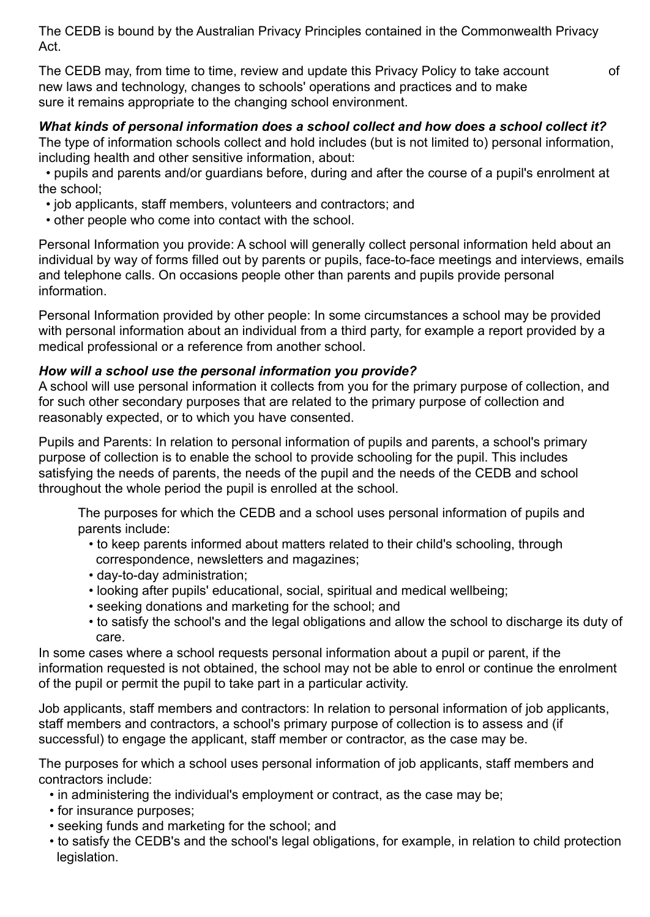The CEDB is bound by the Australian Privacy Principles contained in the Commonwealth Privacy Act.

The CEDB may, from time to time, review and update this Privacy Policy to take account of new laws and technology, changes to schools' operations and practices and to make sure it remains appropriate to the changing school environment.

### *What kinds of personal information does a school collect and how does a school collect it?*

The type of information schools collect and hold includes (but is not limited to) personal information, including health and other sensitive information, about:

 • pupils and parents and/or guardians before, during and after the course of a pupil's enrolment at the school;

- job applicants, staff members, volunteers and contractors; and
- other people who come into contact with the school.

Personal Information you provide: A school will generally collect personal information held about an individual by way of forms filled out by parents or pupils, face-to-face meetings and interviews, emails and telephone calls. On occasions people other than parents and pupils provide personal information.

Personal Information provided by other people: In some circumstances a school may be provided with personal information about an individual from a third party, for example a report provided by a medical professional or a reference from another school.

# *How will a school use the personal information you provide?*

A school will use personal information it collects from you for the primary purpose of collection, and for such other secondary purposes that are related to the primary purpose of collection and reasonably expected, or to which you have consented.

Pupils and Parents: In relation to personal information of pupils and parents, a school's primary purpose of collection is to enable the school to provide schooling for the pupil. This includes satisfying the needs of parents, the needs of the pupil and the needs of the CEDB and school throughout the whole period the pupil is enrolled at the school.

The purposes for which the CEDB and a school uses personal information of pupils and parents include:

- to keep parents informed about matters related to their child's schooling, through correspondence, newsletters and magazines;
- day-to-day administration;
- looking after pupils' educational, social, spiritual and medical wellbeing;
- seeking donations and marketing for the school; and
- to satisfy the school's and the legal obligations and allow the school to discharge its duty of care.

In some cases where a school requests personal information about a pupil or parent, if the information requested is not obtained, the school may not be able to enrol or continue the enrolment of the pupil or permit the pupil to take part in a particular activity.

Job applicants, staff members and contractors: In relation to personal information of job applicants, staff members and contractors, a school's primary purpose of collection is to assess and (if successful) to engage the applicant, staff member or contractor, as the case may be.

The purposes for which a school uses personal information of job applicants, staff members and contractors include:

- in administering the individual's employment or contract, as the case may be;
- for insurance purposes;
- seeking funds and marketing for the school; and
- to satisfy the CEDB's and the school's legal obligations, for example, in relation to child protection legislation.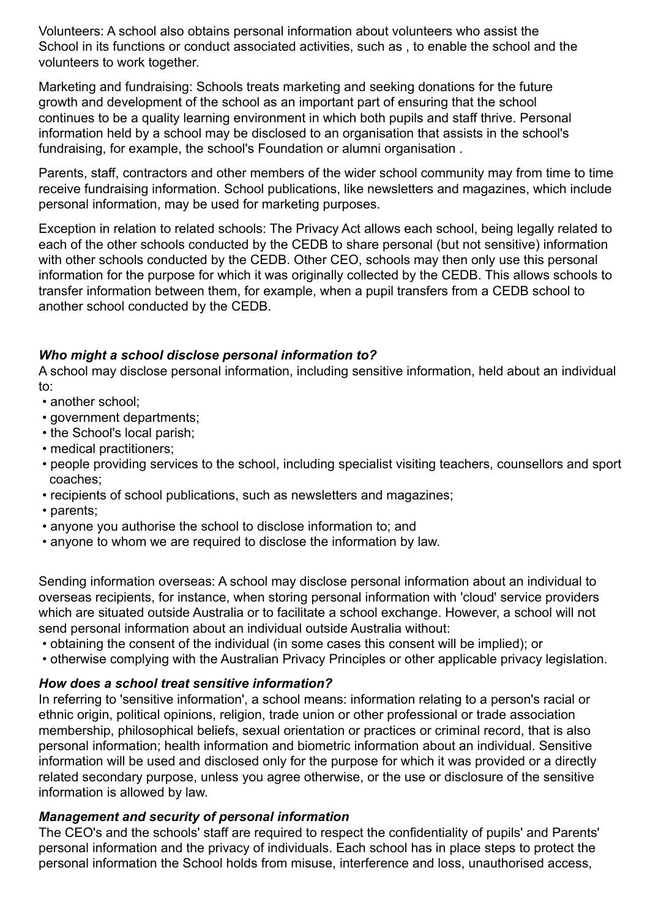Volunteers: A school also obtains personal information about volunteers who assist the School in its functions or conduct associated activities, such as , to enable the school and the volunteers to work together.

Marketing and fundraising: Schools treats marketing and seeking donations for the future growth and development of the school as an important part of ensuring that the school continues to be a quality learning environment in which both pupils and staff thrive. Personal information held by a school may be disclosed to an organisation that assists in the school's fundraising, for example, the school's Foundation or alumni organisation .

Parents, staff, contractors and other members of the wider school community may from time to time receive fundraising information. School publications, like newsletters and magazines, which include personal information, may be used for marketing purposes.

Exception in relation to related schools: The Privacy Act allows each school, being legally related to each of the other schools conducted by the CEDB to share personal (but not sensitive) information with other schools conducted by the CEDB. Other CEO, schools may then only use this personal information for the purpose for which it was originally collected by the CEDB. This allows schools to transfer information between them, for example, when a pupil transfers from a CEDB school to another school conducted by the CEDB.

# *Who might a school disclose personal information to?*

A school may disclose personal information, including sensitive information, held about an individual to:

- another school:
- government departments;
- the School's local parish;
- medical practitioners;
- people providing services to the school, including specialist visiting teachers, counsellors and sport coaches;
- recipients of school publications, such as newsletters and magazines;
- parents;
- anyone you authorise the school to disclose information to; and
- anyone to whom we are required to disclose the information by law.

Sending information overseas: A school may disclose personal information about an individual to overseas recipients, for instance, when storing personal information with 'cloud' service providers which are situated outside Australia or to facilitate a school exchange. However, a school will not send personal information about an individual outside Australia without:

- obtaining the consent of the individual (in some cases this consent will be implied); or
- otherwise complying with the Australian Privacy Principles or other applicable privacy legislation.

# *How does a school treat sensitive information?*

In referring to 'sensitive information', a school means: information relating to a person's racial or ethnic origin, political opinions, religion, trade union or other professional or trade association membership, philosophical beliefs, sexual orientation or practices or criminal record, that is also personal information; health information and biometric information about an individual. Sensitive information will be used and disclosed only for the purpose for which it was provided or a directly related secondary purpose, unless you agree otherwise, or the use or disclosure of the sensitive information is allowed by law.

#### *Management and security of personal information*

The CEO's and the schools' staff are required to respect the confidentiality of pupils' and Parents' personal information and the privacy of individuals. Each school has in place steps to protect the personal information the School holds from misuse, interference and loss, unauthorised access,